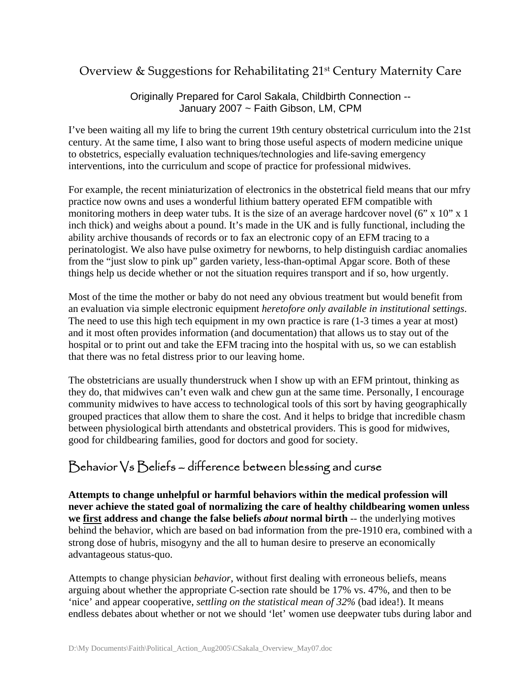## Overview & Suggestions for Rehabilitating 21st Century Maternity Care

Originally Prepared for Carol Sakala, Childbirth Connection -- January 2007 ~ Faith Gibson, LM, CPM

I've been waiting all my life to bring the current 19th century obstetrical curriculum into the 21st century. At the same time, I also want to bring those useful aspects of modern medicine unique to obstetrics, especially evaluation techniques/technologies and life-saving emergency interventions, into the curriculum and scope of practice for professional midwives.

For example, the recent miniaturization of electronics in the obstetrical field means that our mfry practice now owns and uses a wonderful lithium battery operated EFM compatible with monitoring mothers in deep water tubs. It is the size of an average hardcover novel (6" x 10" x 1 inch thick) and weighs about a pound. It's made in the UK and is fully functional, including the ability archive thousands of records or to fax an electronic copy of an EFM tracing to a perinatologist. We also have pulse oximetry for newborns, to help distinguish cardiac anomalies from the "just slow to pink up" garden variety, less-than-optimal Apgar score. Both of these things help us decide whether or not the situation requires transport and if so, how urgently.

Most of the time the mother or baby do not need any obvious treatment but would benefit from an evaluation via simple electronic equipment *heretofore only available in institutional settings*. The need to use this high tech equipment in my own practice is rare (1-3 times a year at most) and it most often provides information (and documentation) that allows us to stay out of the hospital or to print out and take the EFM tracing into the hospital with us, so we can establish that there was no fetal distress prior to our leaving home.

The obstetricians are usually thunderstruck when I show up with an EFM printout, thinking as they do, that midwives can't even walk and chew gun at the same time. Personally, I encourage community midwives to have access to technological tools of this sort by having geographically grouped practices that allow them to share the cost. And it helps to bridge that incredible chasm between physiological birth attendants and obstetrical providers. This is good for midwives, good for childbearing families, good for doctors and good for society.

# Behavior Vs Beliefs – difference between blessing and curse

**Attempts to change unhelpful or harmful behaviors within the medical profession will never achieve the stated goal of normalizing the care of healthy childbearing women unless we first address and change the false beliefs** *about* **normal birth** -- the underlying motives behind the behavior, which are based on bad information from the pre-1910 era, combined with a strong dose of hubris, misogyny and the all to human desire to preserve an economically advantageous status-quo.

Attempts to change physician *behavior*, without first dealing with erroneous beliefs, means arguing about whether the appropriate C-section rate should be 17% vs. 47%, and then to be 'nice' and appear cooperative, *settling on the statistical mean of 32%* (bad idea!). It means endless debates about whether or not we should 'let' women use deepwater tubs during labor and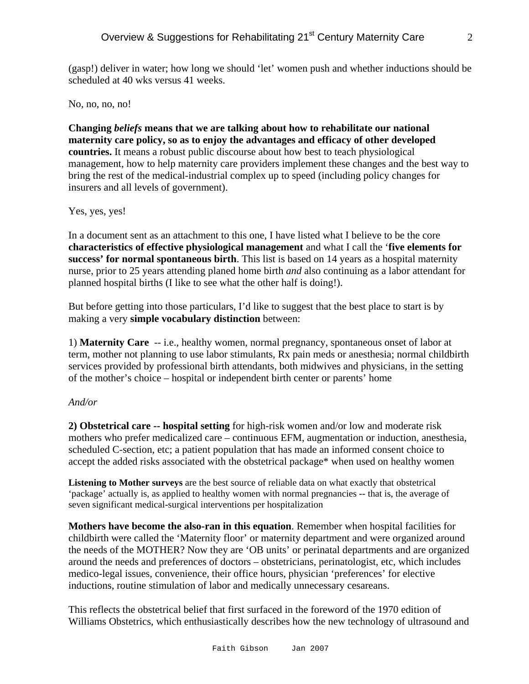(gasp!) deliver in water; how long we should 'let' women push and whether inductions should be scheduled at 40 wks versus 41 weeks.

No, no, no, no!

**Changing** *beliefs* **means that we are talking about how to rehabilitate our national maternity care policy, so as to enjoy the advantages and efficacy of other developed countries.** It means a robust public discourse about how best to teach physiological management, how to help maternity care providers implement these changes and the best way to bring the rest of the medical-industrial complex up to speed (including policy changes for insurers and all levels of government).

#### Yes, yes, yes!

In a document sent as an attachment to this one, I have listed what I believe to be the core **characteristics of effective physiological management** and what I call the '**five elements for success' for normal spontaneous birth**. This list is based on 14 years as a hospital maternity nurse, prior to 25 years attending planed home birth *and* also continuing as a labor attendant for planned hospital births (I like to see what the other half is doing!).

But before getting into those particulars, I'd like to suggest that the best place to start is by making a very **simple vocabulary distinction** between:

1) **Maternity Care** -- i.e., healthy women, normal pregnancy, spontaneous onset of labor at term, mother not planning to use labor stimulants, Rx pain meds or anesthesia; normal childbirth services provided by professional birth attendants, both midwives and physicians, in the setting of the mother's choice – hospital or independent birth center or parents' home

#### *And/or*

**2) Obstetrical care -- hospital setting** for high-risk women and/or low and moderate risk mothers who prefer medicalized care – continuous EFM, augmentation or induction, anesthesia, scheduled C-section, etc; a patient population that has made an informed consent choice to accept the added risks associated with the obstetrical package\* when used on healthy women

**Listening to Mother surveys** are the best source of reliable data on what exactly that obstetrical 'package' actually is, as applied to healthy women with normal pregnancies -- that is, the average of seven significant medical-surgical interventions per hospitalization

**Mothers have become the also-ran in this equation**. Remember when hospital facilities for childbirth were called the 'Maternity floor' or maternity department and were organized around the needs of the MOTHER? Now they are 'OB units' or perinatal departments and are organized around the needs and preferences of doctors – obstetricians, perinatologist, etc, which includes medico-legal issues, convenience, their office hours, physician 'preferences' for elective inductions, routine stimulation of labor and medically unnecessary cesareans.

This reflects the obstetrical belief that first surfaced in the foreword of the 1970 edition of Williams Obstetrics, which enthusiastically describes how the new technology of ultrasound and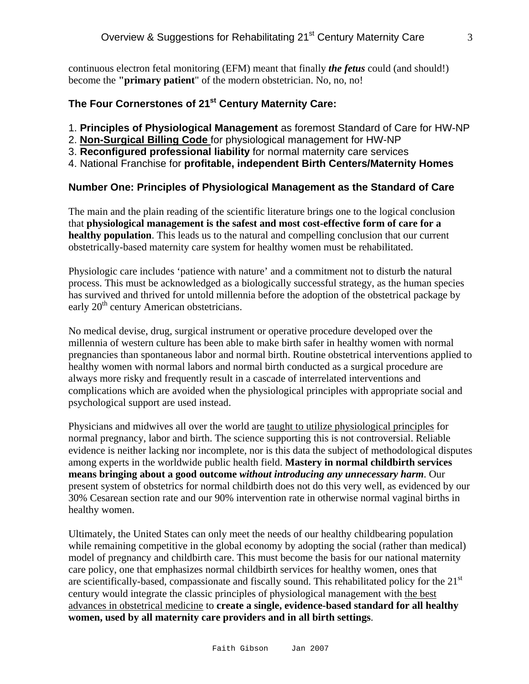continuous electron fetal monitoring (EFM) meant that finally *the fetus* could (and should!) become the **"primary patient**" of the modern obstetrician. No, no, no!

## **The Four Cornerstones of 21st Century Maternity Care:**

- 1. **Principles of Physiological Management** as foremost Standard of Care for HW-NP
- 2. **Non-Surgical Billing Code** for physiological management for HW-NP
- 3. **Reconfigured professional liability** for normal maternity care services
- 4. National Franchise for **profitable, independent Birth Centers/Maternity Homes**

#### **Number One: Principles of Physiological Management as the Standard of Care**

The main and the plain reading of the scientific literature brings one to the logical conclusion that **physiological management is the safest and most cost-effective form of care for a healthy population**. This leads us to the natural and compelling conclusion that our current obstetrically-based maternity care system for healthy women must be rehabilitated.

Physiologic care includes 'patience with nature' and a commitment not to disturb the natural process. This must be acknowledged as a biologically successful strategy, as the human species has survived and thrived for untold millennia before the adoption of the obstetrical package by early 20<sup>th</sup> century American obstetricians.

No medical devise, drug, surgical instrument or operative procedure developed over the millennia of western culture has been able to make birth safer in healthy women with normal pregnancies than spontaneous labor and normal birth. Routine obstetrical interventions applied to healthy women with normal labors and normal birth conducted as a surgical procedure are always more risky and frequently result in a cascade of interrelated interventions and complications which are avoided when the physiological principles with appropriate social and psychological support are used instead.

Physicians and midwives all over the world are taught to utilize physiological principles for normal pregnancy, labor and birth. The science supporting this is not controversial. Reliable evidence is neither lacking nor incomplete, nor is this data the subject of methodological disputes among experts in the worldwide public health field. **Mastery in normal childbirth services means bringing about a good outcome** *without introducing any unnecessary harm*. Our present system of obstetrics for normal childbirth does not do this very well, as evidenced by our 30% Cesarean section rate and our 90% intervention rate in otherwise normal vaginal births in healthy women.

Ultimately, the United States can only meet the needs of our healthy childbearing population while remaining competitive in the global economy by adopting the social (rather than medical) model of pregnancy and childbirth care. This must become the basis for our national maternity care policy, one that emphasizes normal childbirth services for healthy women, ones that are scientifically-based, compassionate and fiscally sound. This rehabilitated policy for the 21<sup>st</sup> century would integrate the classic principles of physiological management with the best advances in obstetrical medicine to **create a single, evidence-based standard for all healthy women, used by all maternity care providers and in all birth settings**.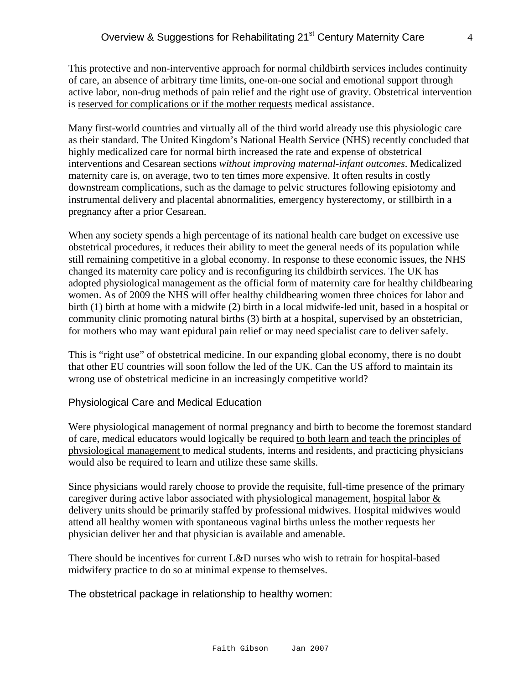This protective and non-interventive approach for normal childbirth services includes continuity of care, an absence of arbitrary time limits, one-on-one social and emotional support through active labor, non-drug methods of pain relief and the right use of gravity. Obstetrical intervention is reserved for complications or if the mother requests medical assistance.

Many first-world countries and virtually all of the third world already use this physiologic care as their standard. The United Kingdom's National Health Service (NHS) recently concluded that highly medicalized care for normal birth increased the rate and expense of obstetrical interventions and Cesarean sections *without improving maternal-infant outcomes*. Medicalized maternity care is, on average, two to ten times more expensive. It often results in costly downstream complications, such as the damage to pelvic structures following episiotomy and instrumental delivery and placental abnormalities, emergency hysterectomy, or stillbirth in a pregnancy after a prior Cesarean.

When any society spends a high percentage of its national health care budget on excessive use obstetrical procedures, it reduces their ability to meet the general needs of its population while still remaining competitive in a global economy. In response to these economic issues, the NHS changed its maternity care policy and is reconfiguring its childbirth services. The UK has adopted physiological management as the official form of maternity care for healthy childbearing women. As of 2009 the NHS will offer healthy childbearing women three choices for labor and birth (1) birth at home with a midwife (2) birth in a local midwife-led unit, based in a hospital or community clinic promoting natural births (3) birth at a hospital, supervised by an obstetrician, for mothers who may want epidural pain relief or may need specialist care to deliver safely.

This is "right use" of obstetrical medicine. In our expanding global economy, there is no doubt that other EU countries will soon follow the led of the UK. Can the US afford to maintain its wrong use of obstetrical medicine in an increasingly competitive world?

#### Physiological Care and Medical Education

Were physiological management of normal pregnancy and birth to become the foremost standard of care, medical educators would logically be required to both learn and teach the principles of physiological management to medical students, interns and residents, and practicing physicians would also be required to learn and utilize these same skills.

Since physicians would rarely choose to provide the requisite, full-time presence of the primary caregiver during active labor associated with physiological management, hospital labor  $&$ delivery units should be primarily staffed by professional midwives. Hospital midwives would attend all healthy women with spontaneous vaginal births unless the mother requests her physician deliver her and that physician is available and amenable.

There should be incentives for current L&D nurses who wish to retrain for hospital-based midwifery practice to do so at minimal expense to themselves.

The obstetrical package in relationship to healthy women: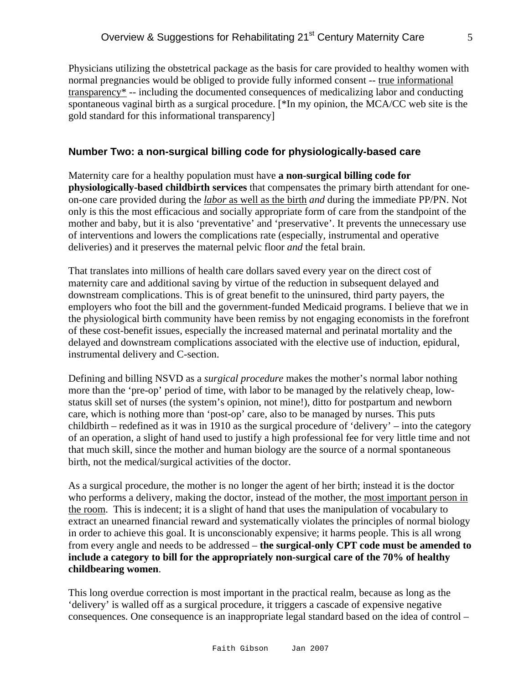Physicians utilizing the obstetrical package as the basis for care provided to healthy women with normal pregnancies would be obliged to provide fully informed consent -- true informational transparency\* -- including the documented consequences of medicalizing labor and conducting spontaneous vaginal birth as a surgical procedure. [\*In my opinion, the MCA/CC web site is the gold standard for this informational transparency]

#### **Number Two: a non-surgical billing code for physiologically-based care**

Maternity care for a healthy population must have **a non-surgical billing code for physiologically-based childbirth services** that compensates the primary birth attendant for oneon-one care provided during the *labor* as well as the birth *and* during the immediate PP/PN. Not only is this the most efficacious and socially appropriate form of care from the standpoint of the mother and baby, but it is also 'preventative' and 'preservative'. It prevents the unnecessary use of interventions and lowers the complications rate (especially, instrumental and operative deliveries) and it preserves the maternal pelvic floor *and* the fetal brain.

That translates into millions of health care dollars saved every year on the direct cost of maternity care and additional saving by virtue of the reduction in subsequent delayed and downstream complications. This is of great benefit to the uninsured, third party payers, the employers who foot the bill and the government-funded Medicaid programs. I believe that we in the physiological birth community have been remiss by not engaging economists in the forefront of these cost-benefit issues, especially the increased maternal and perinatal mortality and the delayed and downstream complications associated with the elective use of induction, epidural, instrumental delivery and C-section.

Defining and billing NSVD as a *surgical procedure* makes the mother's normal labor nothing more than the 'pre-op' period of time, with labor to be managed by the relatively cheap, lowstatus skill set of nurses (the system's opinion, not mine!), ditto for postpartum and newborn care, which is nothing more than 'post-op' care, also to be managed by nurses. This puts childbirth – redefined as it was in 1910 as the surgical procedure of 'delivery' – into the category of an operation, a slight of hand used to justify a high professional fee for very little time and not that much skill, since the mother and human biology are the source of a normal spontaneous birth, not the medical/surgical activities of the doctor.

As a surgical procedure, the mother is no longer the agent of her birth; instead it is the doctor who performs a delivery, making the doctor, instead of the mother, the most important person in the room. This is indecent; it is a slight of hand that uses the manipulation of vocabulary to extract an unearned financial reward and systematically violates the principles of normal biology in order to achieve this goal. It is unconscionably expensive; it harms people. This is all wrong from every angle and needs to be addressed – **the surgical-only CPT code must be amended to include a category to bill for the appropriately non-surgical care of the 70% of healthy childbearing women**.

This long overdue correction is most important in the practical realm, because as long as the 'delivery' is walled off as a surgical procedure, it triggers a cascade of expensive negative consequences. One consequence is an inappropriate legal standard based on the idea of control –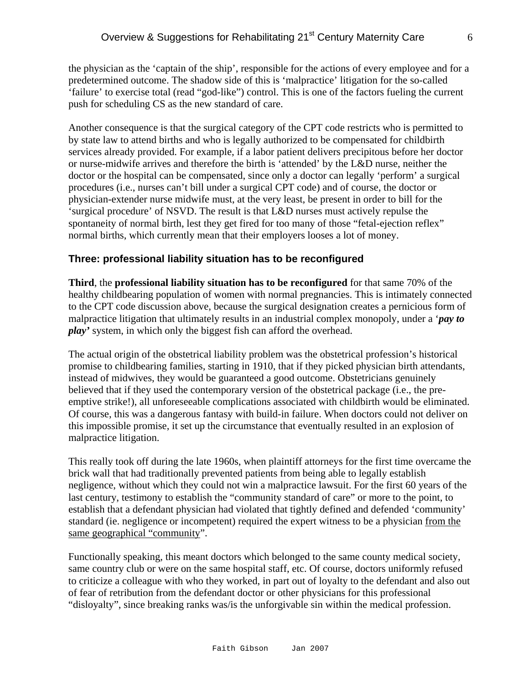the physician as the 'captain of the ship', responsible for the actions of every employee and for a predetermined outcome. The shadow side of this is 'malpractice' litigation for the so-called 'failure' to exercise total (read "god-like") control. This is one of the factors fueling the current push for scheduling CS as the new standard of care.

Another consequence is that the surgical category of the CPT code restricts who is permitted to by state law to attend births and who is legally authorized to be compensated for childbirth services already provided. For example, if a labor patient delivers precipitous before her doctor or nurse-midwife arrives and therefore the birth is 'attended' by the L&D nurse, neither the doctor or the hospital can be compensated, since only a doctor can legally 'perform' a surgical procedures (i.e., nurses can't bill under a surgical CPT code) and of course, the doctor or physician-extender nurse midwife must, at the very least, be present in order to bill for the 'surgical procedure' of NSVD. The result is that L&D nurses must actively repulse the spontaneity of normal birth, lest they get fired for too many of those "fetal-ejection reflex" normal births, which currently mean that their employers looses a lot of money.

#### **Three: professional liability situation has to be reconfigured**

**Third**, the **professional liability situation has to be reconfigured** for that same 70% of the healthy childbearing population of women with normal pregnancies. This is intimately connected to the CPT code discussion above, because the surgical designation creates a pernicious form of malpractice litigation that ultimately results in an industrial complex monopoly, under a '*pay to play'* system, in which only the biggest fish can afford the overhead.

The actual origin of the obstetrical liability problem was the obstetrical profession's historical promise to childbearing families, starting in 1910, that if they picked physician birth attendants, instead of midwives, they would be guaranteed a good outcome. Obstetricians genuinely believed that if they used the contemporary version of the obstetrical package (i.e., the preemptive strike!), all unforeseeable complications associated with childbirth would be eliminated. Of course, this was a dangerous fantasy with build-in failure. When doctors could not deliver on this impossible promise, it set up the circumstance that eventually resulted in an explosion of malpractice litigation.

This really took off during the late 1960s, when plaintiff attorneys for the first time overcame the brick wall that had traditionally prevented patients from being able to legally establish negligence, without which they could not win a malpractice lawsuit. For the first 60 years of the last century, testimony to establish the "community standard of care" or more to the point, to establish that a defendant physician had violated that tightly defined and defended 'community' standard (ie. negligence or incompetent) required the expert witness to be a physician from the same geographical "community".

Functionally speaking, this meant doctors which belonged to the same county medical society, same country club or were on the same hospital staff, etc. Of course, doctors uniformly refused to criticize a colleague with who they worked, in part out of loyalty to the defendant and also out of fear of retribution from the defendant doctor or other physicians for this professional "disloyalty", since breaking ranks was/is the unforgivable sin within the medical profession.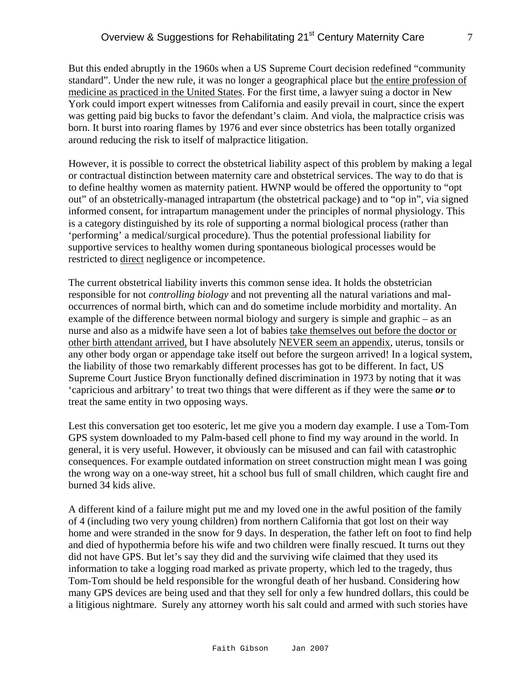But this ended abruptly in the 1960s when a US Supreme Court decision redefined "community standard". Under the new rule, it was no longer a geographical place but the entire profession of medicine as practiced in the United States. For the first time, a lawyer suing a doctor in New York could import expert witnesses from California and easily prevail in court, since the expert was getting paid big bucks to favor the defendant's claim. And viola, the malpractice crisis was born. It burst into roaring flames by 1976 and ever since obstetrics has been totally organized around reducing the risk to itself of malpractice litigation.

However, it is possible to correct the obstetrical liability aspect of this problem by making a legal or contractual distinction between maternity care and obstetrical services. The way to do that is to define healthy women as maternity patient. HWNP would be offered the opportunity to "opt out" of an obstetrically-managed intrapartum (the obstetrical package) and to "op in", via signed informed consent, for intrapartum management under the principles of normal physiology. This is a category distinguished by its role of supporting a normal biological process (rather than 'performing' a medical/surgical procedure). Thus the potential professional liability for supportive services to healthy women during spontaneous biological processes would be restricted to direct negligence or incompetence.

The current obstetrical liability inverts this common sense idea. It holds the obstetrician responsible for not *controlling biology* and not preventing all the natural variations and maloccurrences of normal birth, which can and do sometime include morbidity and mortality. An example of the difference between normal biology and surgery is simple and graphic – as an nurse and also as a midwife have seen a lot of babies take themselves out before the doctor or other birth attendant arrived, but I have absolutely NEVER seem an appendix, uterus, tonsils or any other body organ or appendage take itself out before the surgeon arrived! In a logical system, the liability of those two remarkably different processes has got to be different. In fact, US Supreme Court Justice Bryon functionally defined discrimination in 1973 by noting that it was 'capricious and arbitrary' to treat two things that were different as if they were the same *or* to treat the same entity in two opposing ways.

Lest this conversation get too esoteric, let me give you a modern day example. I use a Tom-Tom GPS system downloaded to my Palm-based cell phone to find my way around in the world. In general, it is very useful. However, it obviously can be misused and can fail with catastrophic consequences. For example outdated information on street construction might mean I was going the wrong way on a one-way street, hit a school bus full of small children, which caught fire and burned 34 kids alive.

A different kind of a failure might put me and my loved one in the awful position of the family of 4 (including two very young children) from northern California that got lost on their way home and were stranded in the snow for 9 days. In desperation, the father left on foot to find help and died of hypothermia before his wife and two children were finally rescued. It turns out they did not have GPS. But let's say they did and the surviving wife claimed that they used its information to take a logging road marked as private property, which led to the tragedy, thus Tom-Tom should be held responsible for the wrongful death of her husband. Considering how many GPS devices are being used and that they sell for only a few hundred dollars, this could be a litigious nightmare. Surely any attorney worth his salt could and armed with such stories have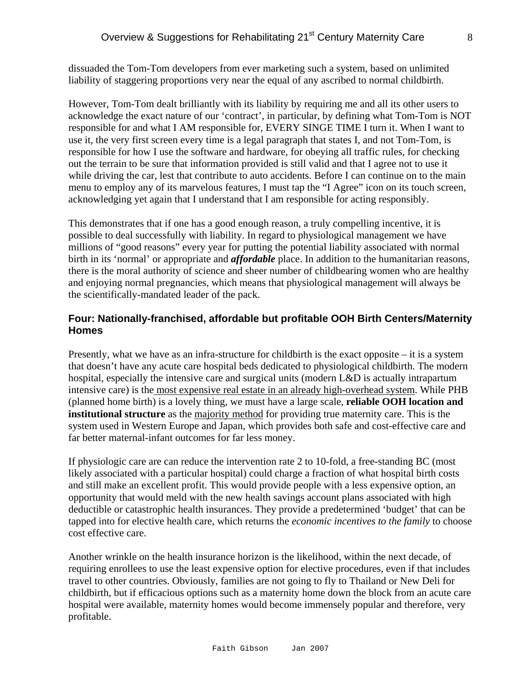dissuaded the Tom-Tom developers from ever marketing such a system, based on unlimited liability of staggering proportions very near the equal of any ascribed to normal childbirth.

However, Tom-Tom dealt brilliantly with its liability by requiring me and all its other users to acknowledge the exact nature of our 'contract', in particular, by defining what Tom-Tom is NOT responsible for and what I AM responsible for, EVERY SINGE TIME I turn it. When I want to use it, the very first screen every time is a legal paragraph that states I, and not Tom-Tom, is responsible for how I use the software and hardware, for obeying all traffic rules, for checking out the terrain to be sure that information provided is still valid and that I agree not to use it while driving the car, lest that contribute to auto accidents. Before I can continue on to the main menu to employ any of its marvelous features, I must tap the "I Agree" icon on its touch screen, acknowledging yet again that I understand that I am responsible for acting responsibly.

This demonstrates that if one has a good enough reason, a truly compelling incentive, it is possible to deal successfully with liability. In regard to physiological management we have millions of "good reasons" every year for putting the potential liability associated with normal birth in its 'normal' or appropriate and *affordable* place. In addition to the humanitarian reasons, there is the moral authority of science and sheer number of childbearing women who are healthy and enjoying normal pregnancies, which means that physiological management will always be the scientifically-mandated leader of the pack.

### **Four: Nationally-franchised, affordable but profitable OOH Birth Centers/Maternity Homes**

Presently, what we have as an infra-structure for childbirth is the exact opposite – it is a system that doesn't have any acute care hospital beds dedicated to physiological childbirth. The modern hospital, especially the intensive care and surgical units (modern L&D is actually intrapartum intensive care) is the most expensive real estate in an already high-overhead system. While PHB (planned home birth) is a lovely thing, we must have a large scale, **reliable OOH location and institutional structure** as the majority method for providing true maternity care. This is the system used in Western Europe and Japan, which provides both safe and cost-effective care and far better maternal-infant outcomes for far less money.

If physiologic care are can reduce the intervention rate 2 to 10-fold, a free-standing BC (most likely associated with a particular hospital) could charge a fraction of what hospital birth costs and still make an excellent profit. This would provide people with a less expensive option, an opportunity that would meld with the new health savings account plans associated with high deductible or catastrophic health insurances. They provide a predetermined 'budget' that can be tapped into for elective health care, which returns the *economic incentives to the family* to choose cost effective care.

Another wrinkle on the health insurance horizon is the likelihood, within the next decade, of requiring enrollees to use the least expensive option for elective procedures, even if that includes travel to other countries. Obviously, families are not going to fly to Thailand or New Deli for childbirth, but if efficacious options such as a maternity home down the block from an acute care hospital were available, maternity homes would become immensely popular and therefore, very profitable.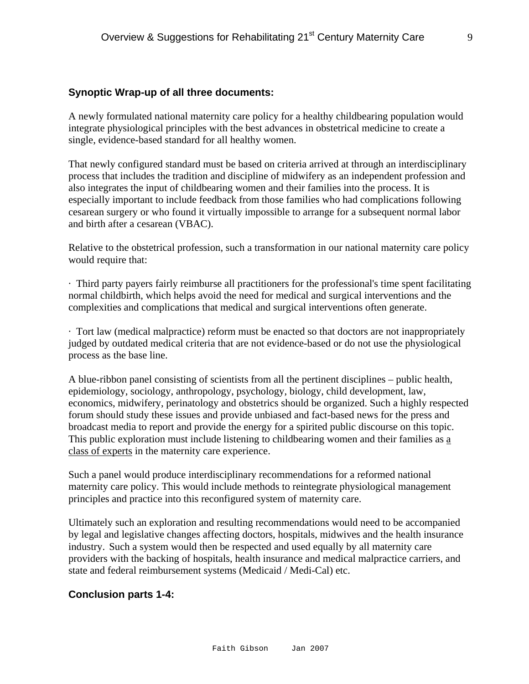#### **Synoptic Wrap-up of all three documents:**

A newly formulated national maternity care policy for a healthy childbearing population would integrate physiological principles with the best advances in obstetrical medicine to create a single, evidence-based standard for all healthy women.

That newly configured standard must be based on criteria arrived at through an interdisciplinary process that includes the tradition and discipline of midwifery as an independent profession and also integrates the input of childbearing women and their families into the process. It is especially important to include feedback from those families who had complications following cesarean surgery or who found it virtually impossible to arrange for a subsequent normal labor and birth after a cesarean (VBAC).

Relative to the obstetrical profession, such a transformation in our national maternity care policy would require that:

· Third party payers fairly reimburse all practitioners for the professional's time spent facilitating normal childbirth, which helps avoid the need for medical and surgical interventions and the complexities and complications that medical and surgical interventions often generate.

· Tort law (medical malpractice) reform must be enacted so that doctors are not inappropriately judged by outdated medical criteria that are not evidence-based or do not use the physiological process as the base line.

A blue-ribbon panel consisting of scientists from all the pertinent disciplines – public health, epidemiology, sociology, anthropology, psychology, biology, child development, law, economics, midwifery, perinatology and obstetrics should be organized. Such a highly respected forum should study these issues and provide unbiased and fact-based news for the press and broadcast media to report and provide the energy for a spirited public discourse on this topic. This public exploration must include listening to childbearing women and their families as a class of experts in the maternity care experience.

Such a panel would produce interdisciplinary recommendations for a reformed national maternity care policy. This would include methods to reintegrate physiological management principles and practice into this reconfigured system of maternity care.

Ultimately such an exploration and resulting recommendations would need to be accompanied by legal and legislative changes affecting doctors, hospitals, midwives and the health insurance industry. Such a system would then be respected and used equally by all maternity care providers with the backing of hospitals, health insurance and medical malpractice carriers, and state and federal reimbursement systems (Medicaid / Medi-Cal) etc.

#### **Conclusion parts 1-4:**